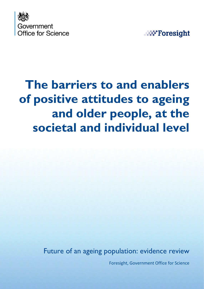



# **The barriers to and enablers of positive attitudes to ageing and older people, at the societal and individual level**

Future of an ageing population: evidence review

Foresight, Government Office for Science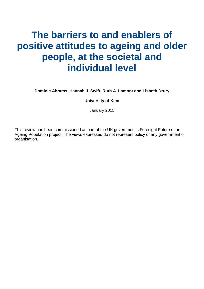## **The barriers to and enablers of positive attitudes to ageing and older people, at the societal and individual level**

**Dominic Abrams, Hannah J. Swift, Ruth A. Lamont and Lisbeth Drury**

**University of Kent**

January 2015

This review has been commissioned as part of the UK government's Foresight Future of an Ageing Population project. The views expressed do not represent policy of any government or organisation.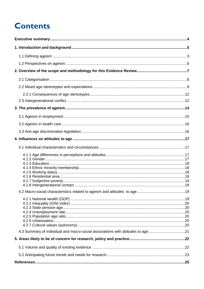## **Contents**

| 4.3 Summary of individual and macro-social associations with attitudes to age21 |  |
|---------------------------------------------------------------------------------|--|
|                                                                                 |  |
|                                                                                 |  |
|                                                                                 |  |
|                                                                                 |  |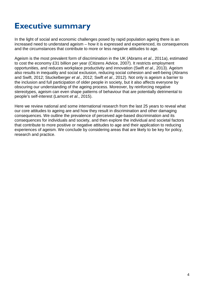## <span id="page-3-0"></span>**Executive summary**

In the light of social and economic challenges posed by rapid population ageing there is an increased need to understand ageism – how it is expressed and experienced, its consequences and the circumstances that contribute to more or less negative attitudes to age.

Ageism is the most prevalent form of discrimination in the UK (Abrams *et al*., 2011a), estimated to cost the economy £31 billion per year (Citizens Advice, 2007). It restricts employment opportunities, and reduces workplace productivity and innovation (Swift *et al*., 2013). Ageism also results in inequality and social exclusion, reducing social cohesion and well-being (Abrams and Swift, 2012; Stuckelberger *et al*., 2012; Swift *et al*., 2012). Not only is ageism a barrier to the inclusion and full participation of older people in society, but it also affects everyone by obscuring our understanding of the ageing process. Moreover, by reinforcing negative stereotypes, ageism can even shape patterns of behaviour that are potentially detrimental to people's self-interest (Lamont *et al*., 2015).

Here we review national and some international research from the last 25 years to reveal what our core attitudes to ageing are and how they result in discrimination and other damaging consequences. We outline the prevalence of perceived age-based discrimination and its consequences for individuals and society, and then explore the individual and societal factors that contribute to more positive or negative attitudes to age and their application to reducing experiences of ageism. We conclude by considering areas that are likely to be key for policy, research and practice.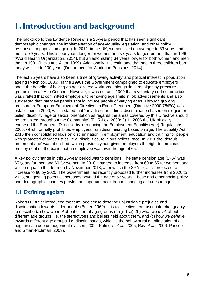## <span id="page-4-0"></span>**1. Introduction and background**

The backdrop to this Evidence Review is a 25-year period that has seen significant demographic changes, the implementation of age-equality legislation, and other policy responses to population ageing. In 2012, in the UK, women lived on average to 83 years and men to 79 years. This is four years longer for women and six years longer for men than in 1990 (World Health Organization, 2014), but an astonishing 34 years longer for both women and men than in 1901 (Hicks and Allen, 1999). Additionally, it is estimated that one in three children born today will live to 100 years (Department for Work and Pensions, 2014).

The last 25 years have also been a time of 'growing activity' and political interest in population ageing (Macnicol, 2006). In the 1990s the Government campaigned to educate employers about the benefits of having an age-diverse workforce, alongside campaigns by pressure groups such as Age Concern. However, it was not until 1999 that a voluntary code of practice was drafted that committed employers to removing age limits in job advertisements and also suggested that interview panels should include people of varying ages. Through growing pressure, a European Employment Directive on Equal Treatment (Directive 2000/78/EC) was established in 2000, which stated that "any direct or indirect discrimination based on religion or belief, disability, age or sexual orientation as regards the areas covered by this Directive should be prohibited throughout the Community" (EUR-Lex, 2000: 2). In 2006 the UK officially endorsed the European Directive by introducing the Employment Equality (Age) Regulations 2006, which formally prohibited employers from discriminating based on age. The Equality Act 2010 then consolidated laws on discrimination in employment, education and training for people with 'protected characteristics', e.g. disabilities, religious beliefs, race. In 2011 the 'default retirement age' was abolished, which previously had given employers the right to terminate employment on the basis that an employee was over the age of 65.

A key policy change in this 25-year period was to pensions. The state pension age (SPA) was 65 years for men and 60 for women. In 2010 it started to increase from 60 to 65 for women, and will be equal to that for men by November 2018, after which the SPA for all is projected to increase to 66 by 2020. The Government has recently proposed further increases from 2020 to 2028, suggesting potential increases beyond the age of 67 years. These and other social policy and demographic changes provide an important backdrop to changing attitudes to age.

### <span id="page-4-1"></span>**1.1 Defining ageism**

Robert N. Butler introduced the term 'ageism' to describe unjustifiable prejudice and discrimination towards older people (Butler, 1969). It is a collective term used interchangeably to describe (a) how we *feel* about different age groups (prejudice), (b) what we *think* about different age groups, i.e. the stereotypes and beliefs held about them, and (c) how we *behave* towards different age groups, i.e. discrimination, which is the behavioural manifestation of a negative attitude or judgement (Nelson, 2002; Palmore *et al*., 2005; Ray *et al*., 2006; Pascoe and Smart-Richman, 2009).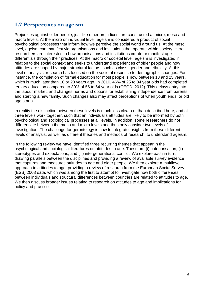## <span id="page-5-0"></span>**1.2 Perspectives on ageism**

Prejudices against older people, just like other prejudices, are constructed at micro, meso and macro levels. At the micro or individual level, ageism is considered a product of social psychological processes that inform how we perceive the social world around us. At the meso level, ageism can manifest via organisations and institutions that operate within society. Here, researchers are interested in how organisations and institutions create or manifest age differentials through their practices. At the macro or societal level, ageism is investigated in relation to the social context and seeks to understand experiences of older people and how attitudes are shaped by major structural factors, such as class, gender and ethnicity. At this level of analysis, research has focused on the societal response to demographic changes. For instance, the completion of formal education for most people is now between 18 and 25 years, which is much later than 10 or 20 years ago. In 2010, 46% of 25 to 34 year olds had completed tertiary education compared to 30% of 55 to 64 year olds (OECD, 2012). This delays entry into the labour market, and changes norms and options for establishing independence from parents and starting a new family. Such changes also may affect perceptions of when youth ends, or old age starts.

In reality the distinction between these levels is much less clear-cut than described here, and all three levels work together, such that an individual's attitudes are likely to be informed by both psychological and sociological processes at all levels. In addition, some researchers do not differentiate between the meso and micro levels and thus only consider two levels of investigation. The challenge for gerontology is how to integrate insights from these different levels of analysis, as well as different theories and methods of research, to understand ageism.

In the following review we have identified three recurring themes that appear in the psychological and sociological literatures on attitudes to age. These are (i) categorisation, (ii) stereotypes and expectations, and (iii) intergenerational conflict. We explore each in turn, drawing parallels between the disciplines and providing a review of available survey evidence that captures and measures attitudes to age and older people. We then explore a multilevel approach to attitudes to age, providing a review of research from the European Social Survey (ESS) 2008 data, which was among the first to attempt to investigate how both differences between individuals and structural differences between countries are related to attitudes to age. We then discuss broader issues relating to research on attitudes to age and implications for policy and practice.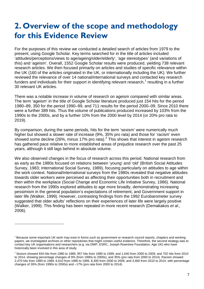## <span id="page-6-0"></span>**2. Overview of the scope and methodology for this Evidence Review**

For the purposes of this review we conducted a detailed search of articles from 1979 to the present, using Google Scholar. Key terms searched for in the title of articles included 'attitudes/perceptions/views to age/ageing/older/elderly', 'age stereotypes' (and variations of this) and 'ageism'. Overall, 1552 Google Scholar results were produced, yielding 738 relevant research articles. We then focused primarily on articles and studies of specific relevance within the UK (160 of the articles originated in the UK, or internationally including the UK). We further reviewed the relevance of over 14 national/international surveys and contacted key research funders and individuals for their support in identifying relevant research,  $\frac{1}{1}$  $\frac{1}{1}$  $\frac{1}{1}$  resulting in a further 30 relevant UK articles.

There was a notable increase in volume of research on ageism compared with similar areas. The term 'ageism' in the title of Google Scholar literature produced just 154 hits for the period 1980–89, 350 for the period 1990–99, and 711 results for the period 2000–09. Since 2010 there were a further 389 hits. Thus the volume of publications produced increased by 103% from the 1990s to the 2000s, and by a further 10% from the 2000 level by 2014 (or 20% pro rata to 2019).

By comparison, during the same periods, hits for the term 'sexism' were numerically much higher but showed a slower rate of increase (9%, 35% pro rata) and those for 'racism' even showed some decline ([2](#page-6-2)6%, minus 17% pro rata).<sup>2</sup> This shows that interest in ageism research has gathered pace relative to more established areas of prejudice research over the past 25 years, although it still lags behind in absolute volume.

We also observed changes in the focus of research across this period. National research from as early as the 1980s focused on relations between 'young' and 'old' (British Social Attitudes Survey, 1983; International Social Survey, 1989), focusing particularly on attitudes to age within the work context. National/international surveys from the 1980s revealed that negative attitudes towards older workers were perceived as affecting their opportunities both in recruitment and then within the workplace (Social Change and Economic Life Initiative Survey, 1986). National research from the 1990s explored attitudes to age more broadly, demonstrating increasing pessimism in the general population's expectations of retirement, and Government support in later life (Walker, 1999). However, contrasting findings from the 1992 Eurobarometer survey suggested that older adults' reflections on their experiences of later life were largely positive (Walker, 1999). This finding has been repeated in more recent research (Demakakos *et al*., 2006).

 $\overline{a}$ 

<span id="page-6-1"></span><sup>1</sup> Because some important UK work may exist in forms such as government or research council reports, chapters and working papers, we investigated archives or other repositories that might contain useful evidence. Therefore, the second strategy was to contact key UK organisations and researchers (e.g. via DWP, ESRC, Joseph Rowntree Foundation, Age UK) who have historically been involved in this area of study.

<span id="page-6-2"></span> $2$  Sexism showed 934 hits from 1980 to 1989, 957 hits from 1990 to 1999, and 1,040 from 2000 to 2009, and 702 hits from 2010 to 2014, showing percentage changes of 9% (from 1990s to 2000s), and 35% (pro rata from 2000 to 2014). Racism showed 2,470 hits from 1980 to 1989, 6,610 from 1990 to 1999, 8,300 from 2000 to 2009, and 3,460 from 2010 to 2014, with percentage changes of 26% (from 1990s to 2000s) and –17% (pro rata from 2000 to 2014).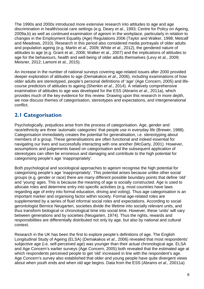The 1990s and 2000s introduced more extensive research into attitudes to age and age discrimination in health/social care settings (e.g. Deary *et al*., 1993; Centre for Policy on Ageing, 2009a,b) as well as continued examination of ageism in the workplace, particularly in relation to changes in the Employment Equality (Age) Regulations 2006 (Taylor and Walker, 1998; Metcalf and Meadows, 2010). Research in this period also considered media portrayals of older adults and population ageing (e.g. Martin *et al*., 2009; White *et al*., 2012), the gendered nature of attitudes to age (e.g. Grant et al., 2006; Walker et al., 2007) and the implications of attitudes to age for the behaviours, health and well-being of older adults themselves (Levy et al., 2009; Meisner, 2012; Lamont et al., 2015).

An increase in the number of national surveys covering age-related issues after 2000 provided deeper exploration of attitudes to age (Demakakos *et al*., 2006), including examinations of how older adults are stereotyped, people's personal definitions of 'age' (Age Concern, 2005) and lifecourse predictors of attitudes to ageing (Shenkin *et al*., 2014). A relatively comprehensive examination of attitudes to age was developed for the ESS (Abrams *et al*., 2011a), which provides much of the key evidence for this review. Drawing upon this research in more depth, we now discuss themes of categorisation, stereotypes and expectations, and intergenerational conflict.

## <span id="page-7-0"></span>**2.1 Categorisation**

Psychologically, prejudices arise from the process of categorisation. Age, gender and race/ethnicity are three 'automatic categories' that people use in everyday life (Brewer, 1988). Categorisation immediately creates the potential for generalisation, i.e. stereotyping about members of a group. These generalisations are often functional and indeed essential for navigating our lives and successfully interacting with one another (McGarty, 2001). However, assumptions and judgements based on categorisation and the subsequent application of stereotypes can often be erroneous and damaging and contribute to the high potential for categorising people's age 'inappropriately'.

Both psychological and sociological approaches to ageism recognise the high potential for categorising people's age 'inappropriately'. This potential arises because unlike other social groups (e.g. gender or race) there are many different possible boundary points that define 'old' and 'young' ages. This is because the meaning of age is socially constructed. Age is used to allocate roles and determine entry into specific activities (e.g. most countries have laws regarding age of entry into formal education, driving and voting). Thus age categorisation is an important marker and organising factor within society. Formal age-related roles are supplemented by a series of fluid informal social roles and expectations. According to social gerontologist Bernice Neugarten, societies divide the lifetime into socially relevant units, and thus transform biological or chronological time into social time. However, these 'units' will vary between generations and by societies (Neugarten, 1974). Thus the rights, rewards and responsibilities are differentially distributed not only by age, but also by national and cultural context.

Research in the UK has been the first to explore people's definitions of age. The English Longitudinal Study of Ageing (ELSA) (Demakakos *et al*., 2006) revealed that most respondents' subjective age (i.e. self-perceived age) was younger than their actual chronological age. ELSA and Age Concern's earlier surveys (Age Concern, 2005) both revealed that the estimated age at which respondents perceived people to get 'old' increased in line with the respondent's age. Age Concern's survey also established that older and young people have quite divergent views about when youth ends and when old age begins. Data from the ESS (Abrams *et al*., 20011a)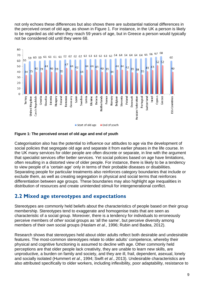not only echoes these differences but also shows there are substantial national differences in the perceived onset of old age, as shown in Figure 1. For instance, in the UK a person is likely to be regarded as old when they reach 59 years of age, but in Greece a person would typically not be considered old until they were 68.





Categorisation also has the potential to influence our attitudes to age via the development of social policies that segregate old age and separate it from earlier phases in the life course. In the UK many services for older people are often discrete or separate, in line with the argument that specialist services offer better services. Yet social policies based on age have limitations, often resulting in a distorted view of older people. For instance, there is likely to be a tendency to view people of a 'certain age' only in terms of their probable diseases or disabilities. Separating people for particular treatments also reinforces category boundaries that include or exclude them, as well as creating segregation in physical and social terms that reinforces differentiation between age groups. These boundaries may also highlight age inequalities in distribution of resources and create unintended stimuli for intergenerational conflict.

### <span id="page-8-0"></span>**2.2 Mixed age stereotypes and expectations**

Stereotypes are commonly held beliefs about the characteristics of people based on their group membership. Stereotypes tend to exaggerate and homogenise traits that are seen as characteristic of a social group. Moreover, there is a tendency for individuals to erroneously perceive members of *other* social groups as 'all the same', but perceive diversity among members of their own social groups (Haslam *et al*., 1996; Rubin and Badea, 2012).

Research shows that stereotypes held about older adults reflect both desirable and undesirable features. The most-common stereotypes relate to older adults' competence, whereby their physical and cognitive functioning is assumed to decline with age. Other commonly held perceptions are that older people lack creativity, they are unable to learn new skills, are unproductive, a burden on family and society, and they are ill, frail, dependent, asexual, lonely and socially isolated (Hummert *et al*., 1994; Swift *et al*., 2013). Undesirable characteristics are also attributed specifically to older workers, including inflexibility, poor adaptability, resistance to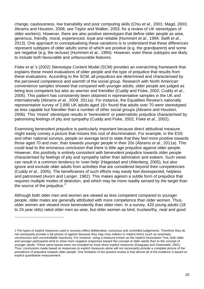change, cautiousness, low trainability and poor computing skills (Chiu *et al*., 2001; Magd, 2003; Abrams and Houston, 2006; see Taylor and Walker, 2003, for a review of UK stereotypes of older workers). However, there are also positive stereotypes that define older people as wise, generous, friendly, moral, experienced, loyal and reliable (Hummert *et al*., 1994; Swift *et al*., 2013). One approach to conceptualising these variations is to understand that these differences represent subtypes of older adults some of which are positive (e.g. the grandparent) and some are negative (e.g. the recluse) (Hummert *et al*., 1994). However, even these subtypes are likely to include both favourable and unfavourable features.

Fiske *et al*.'s (2002) Stereotype Content Model (SCM) provides an overarching framework that explains these mixed evaluations of older people and the type of prejudice that results from these evaluations. According to the SCM, all prejudices are determined and characterised by the perceived *competence* and *warmth* of the social group. Research with North American convenience samples showed that compared with younger adults, older people are judged as being less competent but also as warmer and friendlier (Cuddy and Fiske, 2002; Cuddy *et al*., 2005). This pattern has consistently been obtained in representative samples in the UK and internationally (Abrams *et al*., 2009, 2011a). For instance, the Equalities Review's nationally representative survey of 2,895 UK adults aged 16+ found that adults over 70 were stereotyped as less capable but friendlier than a number of other social groups (Abrams and Houston, 2006). This 'mixed' stereotype results in 'benevolent' or paternalistic prejudice characterised by patronising feelings of pity and sympathy (Cuddy and Fiske, 2002; Fiske *et al*., 2002).

Examining benevolent prejudice is particularly important because direct attitudinal measure might easily convey a picture that misses this root of discrimination. For example, in the ESS and other national surveys, people on average tend to state that they feel more positive towards those aged 70 and over, than towards younger people in their 20s (Abrams *et al*., 2011a). This could lead to the erroneous conclusion that there is little age prejudice against older people. However, this positivity is entirely consistent with benevolent prejudice towards older people characterised by feelings of pity and sympathy rather than admiration and esteem. Such views can result in a common tendency to 'over-help' (Hagestad and Uhlenberg, 2005), but also ignore and exclude older adults from activities that are considered beyond their competencies (Cuddy *et al*., 2005). The beneficiaries of such efforts may easily feel disrespected, helpless and patronised (Avorn and Langer, 1982). This makes ageism a subtle form of prejudice that requires multiple modes of detection, and which may be more readily sensed by the target than the source of the prejudice. $3$ 

Although both older men and women are viewed as less competent compared to younger people, older males are generally attributed with more competence than older women. Thus, older women are viewed more benevolently than older men. In a survey, 420 young adults (18 to 24 year olds) rated older men as wise, but older women as kind, trustworthy, neat and good

 $\overline{a}$ 

<span id="page-9-0"></span><sup>3</sup> The types of explicit measures used in surveys reflect deliberative, conscious and controlled judgements. Therefore they do not necessarily provide a full picture of ageism because they may miss indirect or implicit forms (such as automatic, unconscious and uncontrollable reactions). For instance, using a measure known as the Implicit Association Test, both older and younger participants tend to show more negative responses toward the concept of older adults than to the concept of younger adults. These same biases were not revealed by more direct explicit measures (Dasgupta and Greenwald, 2001). Thus, conclusions made based on responses to explicit measures alone will not necessarily provide a complete picture of the prevalence of prejudice towards older people. One limitation of the present review is that almost all of the evidence is based on explicit quantitative measurement.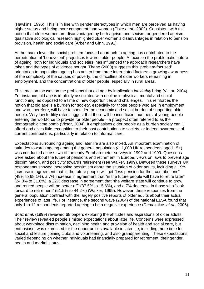(Hawkins, 1996). This is in line with gender stereotypes in which men are perceived as having higher status and being more competent than women (Fiske *et al*., 2002). Consistent with this notion that older women are disadvantaged by both ageism and sexism, or gendered ageism, qualitative sociological research highlighted older women's disadvantages in relation to pension provision, health and social care (Arber and Ginn, 1991).

At the macro level, the social problem-focused approach to ageing has contributed to the perpetuation of 'benevolent' prejudices towards older people. A focus on the problematic nature of ageing, both for individuals and societies, has influenced the approach researchers have taken and the types of evidence sought. Thane (2000) suggests this 'problem-focused' orientation to population ageing has arisen from three interrelated factors: a growing awareness of the complexity of the causes of poverty, the difficulties of older workers remaining in employment, and the concentrations of older people, especially in rural areas.

This tradition focuses on the problems that old age by implication *inevitably* bring (Victor, 2004). For instance, old age is implicitly associated with decline in physical, mental and social functioning, as opposed to a time of new opportunities and challenges. This reinforces the notion that old age is a burden for society, especially for those people who are in employment and who, therefore, will have to shoulder the economic and social burden of supporting older people. Very low fertility rates suggest that there will be insufficient numbers of young people entering the workforce to provide for older people – a prospect often referred to as the demographic time bomb (Victor, 2004). It emphasises older people as a burden society can ill afford and gives little recognition to their past contributions to society, or indeed awareness of current contributions, particularly in relation to informal care.

Expectations surrounding ageing and later life are also mixed. An important examination of attitudes towards ageing among the general population *(c.* 1,000 UK respondents aged 15+) was conducted across two of the early Eurobarometer surveys in 1992 and 1999. Questions were asked about the future of pensions and retirement in Europe, views on laws to prevent age discrimination, and positivity towards retirement (see Walker, 1999). Between these surveys UK respondents showed increasing pessimism about the situation of older adults, including a 19% increase in agreement that in the future people will get "less pension for their contributions" (49% to 68.1%), a 7% increase in agreement that "in the future people will have to retire later" (24.8% to 31.8%), a 22% decrease in agreement that "the welfare state will continue to grow and retired people will be better off" (37.5% to 15.6%), and a 7% decrease in those who "look forward to retirement" (51.5% to 44.2%) (Walker, 1999). However, these responses from the general population contrast with the largely positive reports of older adults about their actual experiences of later life. For instance, the second wave (2004) of the national ELSA found that only 1 in 12 respondents reported ageing to be a negative experience (Demakakos *et al*., 2006).

Boaz *et al*. (1999) reviewed 68 papers exploring the attitudes and aspirations of older adults. Their review revealed people's mixed expectations about later life. Concerns were expressed about workplace discrimination, declining health and provision of health and social care, but enthusiasm was expressed for the opportunities available in later life, including more time for social and leisure, joining clubs and volunteering, and also grandparenting. These expectations varied depending on whether individuals had financially prepared for retirement, their gender, health and marital status.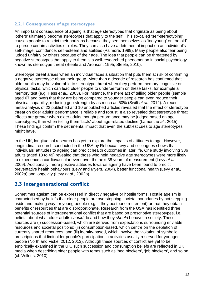#### <span id="page-11-0"></span>**2.2.1 Consequences of age stereotypes**

An important consequence of ageing is that age stereotypes that originate as being about 'others' ultimately become stereotypes that apply to the self. This so-called 'self-stereotyping' causes people to restrict their horizons because they see themselves as 'too young' or 'too old' to pursue certain activities or roles. They can also have a detrimental impact on an individual's self-image, confidence, self-esteem and abilities (Palmore, 1999). Many people also fear being judged unfairly by others because of their age. The idea that people can be threatened by negative stereotypes that apply to them is a well-researched phenomenon in social psychology known as stereotype threat (Steele and Aronson, 1995; Steele, 2010).

Stereotype threat arises when an individual faces a situation that puts them at risk of confirming a negative stereotype about their group. More than a decade of research has confirmed that older adults may be vulnerable to stereotype threat when they perform memory, cognitive or physical tasks, which can lead older people to underperform on these tasks, for example a memory test (e.g. Hess *et al.*, 2003). For instance, the mere act of telling older people (sample aged 67 and over) that they are being compared to younger people can even reduce their physical capability, reducing grip strength by as much as 50% (Swift *et al*., 2012). A recent meta-analysis of 22 published and 10 unpublished articles revealed that the effect of stereotype threat on older adults' performance is reliable and robust. It also revealed that stereotype threat effects are greater when older adults thought performance may be judged based on age stereotypes, than when telling them 'facts' about age-related decline (Lamont *et al*., 2015). These findings confirm the detrimental impact that even the subtlest cues to age stereotypes might have.

In the UK, longitudinal research has yet to explore the impacts of attitudes to age. However, longitudinal research conducted in the USA by Rebecca Levy and colleagues shows that individuals' attitudes to ageing can predict health outcomes in later life. One study involving 386 adults (aged 18 to 49) revealed that those who held negative age stereotypes were more likely to experience a cardiovascular event over the next 38 years of measurement (Levy *et al*., 2009). Additionally, more positive attitudes towards ageing have been found to predict preventative health behaviours (Levy and Myers, 2004), better functional health (Levy *et al*., 2002a) and longevity (Levy *et al*., 2002b).

### <span id="page-11-1"></span>**2.3 Intergenerational conflict**

Sometimes ageism can be expressed in directly negative or hostile forms. Hostile ageism is characterised by beliefs that older people are overstepping societal boundaries by not stepping aside and making way for young people (e.g. if they postpone retirement) or that they obtain benefits or resources that are disproportionate. Research from the USA has identified three potential sources of intergenerational conflict that are based on prescriptive stereotypes, i.e. beliefs about what older adults *should* do and how they *should* behave in society. These sources are (i) succession-based, which are derived from expectations surrounding enviable resources and societal positions; (ii) consumption-based, which centre on the depletion of currently shared resources; and (iii) identity-based, which involve the violation of symbolic prescriptions that limit older people's participation in activities usually reserved for younger people (North and Fiske, 2012, 2013). Although these sources of conflict are yet to be empirically examined in the UK, such succession and consumption beliefs are reflected in UK media when describing older people with terms such as 'bed blockers', 'job blockers', and so on (cf. Willetts, 2010).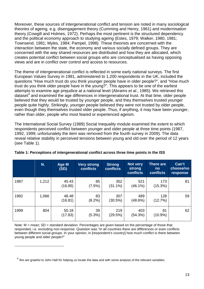Moreover, these sources of intergenerational conflict and tension are noted in many sociological theories of ageing, e.g. disengagement theory (Cumming and Henry, 1961) and modernisation theory (Cowgill and Holmes, 1972). Perhaps the most pertinent is the structured dependency and the political economy approach to studying ageing (Estes, 1979; Walker, 1980, 1981; Townsend, 1981; Myles, 1984; Pampel, 1998). These theorists are concerned with the interaction between the state, the economy and various socially defined groups. They are concerned with the way shared resources are distributed and how they are allocated, which creates potential conflict between social groups who are conceptualised as having opposing views and are in conflict over control and access to resources.

The theme of intergenerational conflict is reflected in some early national surveys. The first European Values Survey in 1981, administered to 1,200 respondents in the UK, included the questions "How much trust do you think younger people have in older people?", and "How much trust do you think older people have in the young?". This appears to be one of the earliest attempts to examine age prejudice at a national level (Abrams *et al*., 1985). We retrieved this dataset<sup>[4](#page-12-0)</sup> and examined the age differences in intergenerational trust. At that time, older people believed that they would be trusted by younger people, and they themselves trusted younger people quite highly. Strikingly, younger people believed they were not trusted by older people, even though they themselves trusted older people. Thus, if anything, it may have been younger, rather than older, people who most feared or experienced ageism.

The International Social Survey (1989) Social Inequality module examined the extent to which respondents perceived conflict between younger and older people at three time points (1987, 1992, 1999; unfortunately the item was removed from the fourth survey in 2009). The data reveal relative stability in perceived tensions between young and old over the period of 12 years (see Table 1).

|      | N.    | Age M<br>(SD)    | <b>Very strong</b><br><b>conflicts</b> | <b>Strong</b><br><b>conflicts</b> | Not very<br>strong<br><b>conflicts</b> | There are<br>no<br><b>conflicts</b> | Can't<br>choose/no<br>response |
|------|-------|------------------|----------------------------------------|-----------------------------------|----------------------------------------|-------------------------------------|--------------------------------|
| 1987 | 1,212 | 45.43<br>(16.85) | 85<br>(7.5%)                           | 352<br>$(31.1\%)$                 | 521<br>$(46.1\%)$                      | 173<br>(15.3%)                      | 81                             |
| 1992 | 1,066 | 48.48<br>(16.81) | 83<br>$(8.2\%)$                        | 307<br>(30.5%)                    | 489<br>(48.6%)                         | 128<br>(12.7%)                      | 59                             |
| 1999 | 804   | 50.18<br>(17.83) | 39<br>$(5.3\%)$                        | 219<br>(29.5%)                    | 403<br>(54.3%)                         | 81<br>$(10.9\%)$                    | 62                             |

#### **Table 1: Perceptions of intergenerational conflict across three time points in the ISS**

Note: M = mean; SD = standard deviation. Percentages are given based on the percentage of those that responded, i.e. excluding non-response. Question was "In all countries there are differences or even conflicts between different social groups. In your opinion, in [respondent's country] how much conflict is there between young people and older people?"

 $\overline{a}$ 

<span id="page-12-0"></span> $4$  We are grateful to John Hall for helping us locate the data and with some analysis of the relevant variables.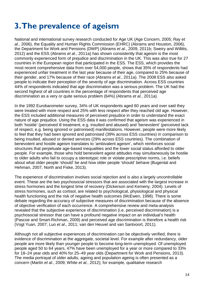## <span id="page-13-0"></span>**3. The prevalence of ageism**

National and international survey research conducted for Age UK (Age Concern, 2005; Ray *et al*., 2006), the Equality and Human Rights Commission (EHRC) (Abrams and Houston, 2006), the Department for Work and Pensions (DWP) (Abrams *et al*., 2009, 2011b; Sweiry and Willitts, 2012) and the ESS (Abrams *et al*., 2011a) has shown consistently that ageism is the most commonly experienced form of prejudice and discrimination in the UK. This was also true for 27 countries in the European region that participated in the ESS. The ESS, which provides the most recent comprehensive data from over 54,000 people, shows that 35% of respondents had experienced unfair treatment in the last year because of their age, compared to 25% because of their gender, and 17% because of their race (Abrams *et al*., 2011a). The 2008 ESS also asked people to indicate their perception of the severity of age discrimination. Across ESS countries 44% of respondents indicated that age discrimination was a serious problem. The UK had the second highest of all countries in the percentage of respondents that perceived age discrimination as a very or quite serious problem (64%) (Abrams *et al.*, 2011a).

In the 1992 Eurobarometer survey, 34% of UK respondents aged 60 years and over said they were treated with more respect and 25% with less respect after they reached old age. However, the ESS included additional measures of perceived prejudice in order to understand the exact nature of age prejudice. Using the ESS data it was confirmed that ageism was experienced in both 'hostile' (perceived ill treatment, e.g. insulted and abused) and 'benevolent' (perceived lack of respect, e.g. being ignored or patronised) manifestations. However, people were more likely to feel that they had been ignored and patronised (39% across ESS countries) in comparison to being insulted, abused or denied services (29% across ESS countries). The combination of benevolent and hostile ageism translates to 'ambivalent ageism', which reinforces social structures that perpetuate age-based inequalities and the lower social status afforded to older people. For example, those who hold benevolent ageist attitudes may simultaneously be hostile to older adults who fail to occupy a stereotypic role or violate prescriptive norms, i.e. beliefs about what older people 'should' be and how older people 'should' behave (Bugental and Hehman, 2007; North and Fiske, 2013).

The experience of discrimination involves social rejection and is also a largely uncontrollable event. These are the two psychosocial stressors that are associated with the largest increase in stress hormones and the longest time of recovery (Dickerson and Kemeny, 2004). Levels of stress hormones, such as cortisol, are related to psychological, physiological and physical health functioning and the risk of negative health outcomes (McEwen, 1998). There is some debate regarding the accuracy of subjective measures of discrimination because of the absence of objective verification of each occurrence. A comprehensive review and meta-analysis revealed that the subjective experience of discrimination (i.e. perceived discrimination) is a psychosocial stressor that can have a profound negative impact on an individual's health (Pascoe and Smart-Richman, 2009) and perceived age discrimination is therefore a health risk (Vogt Yuan, 2007; Luo *et al*., 2011; van den Heuvel and van Santvoort, 2011).

Although not all subjective experiences of discrimination can be objectively verified, there is evidence of discrimination at the aggregate, societal level. For example after redundancy, older people are more likely than younger people to become long-term unemployed. Of unemployed people aged 50 to 64 years, 47% have been unemployed for a year or more compared to 33% for 18–24 year olds and 40% for 25–49 year olds (Department for Work and Pensions, 2013). The media portrayal of older adults, ageing and population ageing is often presented as a concern (Martin *et al*., 2009; White *et al*., 2012); for example, qualitative research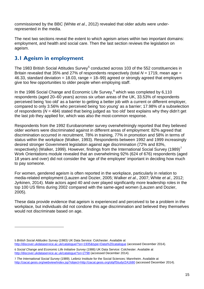commissioned by the BBC (White *et al*., 2012) revealed that older adults were underrepresented in the media.

The next two sections reveal the extent to which ageism arises within two important domains: employment, and health and social care. Then the last section reviews the legislation on ageism.

## <span id="page-14-0"></span>**3.1 Ageism in employment**

 $\overline{a}$ 

The 1983 British Social Attitudes Survey<sup>[5](#page-14-1)</sup> conducted across 103 of the 552 constituencies in Britain revealed that 35% and 27% of respondents respectively (total *N* = 1719, mean age = 46.33, standard deviation = 18.03, range =  $18-99$ ) agreed or strongly agreed that employers give too few opportunities to older people when employing staff.

In the 198[6](#page-14-2) Social Change and Economic Life Survey,  $6$  which was completed by 6,110 respondents (aged 20–60 years) across six urban areas of the UK, 33.53% of respondents perceived being 'too old' as a barrier to getting a better job with a current or different employer, compared to only 3.56% who perceived being 'too young' as a barrier; 17.98% of a subselection of respondents (*N* = 484) stated that being judged as 'too old' best explains why they didn't get the last job they applied for, which was also the most-common response.

Respondents from the 1992 Eurobarometer survey overwhelmingly reported that they believed older workers were discriminated against in different areas of employment: 82% agreed that discrimination occurred in recruitment, 78% in training, 77% in promotion and 58% in terms of status within the workplace (Walker, 1993). Respondents between 1992 and 1999 increasingly desired stronger Government legislation against age discrimination (72% and 83%, respectively) (Walker, 1999). However, findings from the International Social Survey (1989)<sup>[7](#page-14-3)</sup> Work Orientations module revealed that an overwhelming 92% (624 of 676) respondents (aged 18 years and over) did not consider the 'age of the employee' important in deciding how much to pay someone.

For women, gendered ageism is often reported in the workplace, particularly in relation to media-related employment (Lauzen and Dozier, 2005; Walker *et al*., 2007; White *et al*., 2012; Jyrkinen, 2014). Male actors aged 40 and over played significantly more leadership roles in the top 100 US films during 2002 compared with the same-aged women (Lauzen and Dozier, 2005).

These data provide evidence that ageism is experienced and perceived to be a problem in the workplace, but individuals did not condone this age discrimination and believed they themselves would not discriminate based on age.

<span id="page-14-1"></span><sup>5</sup> *British Social Attitudes Survey* (1983) UK Data Service: Colchester. Available at <http://discover.ukdataservice.ac.uk/catalogue/?sn=1935&type=Data%20catalogue> (accessed December 2014).

<span id="page-14-2"></span><sup>6</sup> *Social Change and Economic Life Initiative Survey* (1986) UK Data Service: Colchester. Available at <http://discover.ukdataservice.ac.uk/catalogue?sn=2798> (accessed December 2014).

<span id="page-14-3"></span><sup>7</sup> *The International Social Survey* (1989). Leibniz Institute for the Social Sciences: Mannheim. Available at <http://zacat.gesis.org/webview/index.jsp?object=http://zacat.gesis.org/obj/fStudy/ZA1680> (accessed December 2014).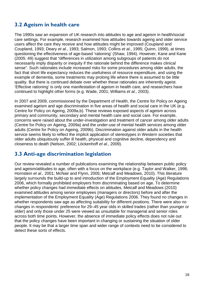## <span id="page-15-0"></span>**3.2 Ageism in health care**

The 1990s saw an expansion of UK research into attitudes to age and ageism in health/social care settings. For example, research examined how attitudes towards ageing and older service users affect the care they receive and how attitudes might be improved (Coupland and Coupland, 1993; Deary *et al*., 1993; Salmon, 1993; Collins *et al*., 1995; Quinn, 1999), at times questioning the effectiveness of age-based 'rationing' (Shaw, 1994). However, Kane and Kane (2005: 49) suggest that "differences in utilization among subgroups of patients do not necessarily imply disparity or inequity if the rationale behind the difference makes clinical sense". Such rationales include increased risks for some procedures among older adults, the fact that short life expectancy reduces the usefulness of resource expenditure, and using the example of dementia, some treatments may prolong life where there is assumed to be little quality. But there is continued debate over whether these rationales are inherently ageist. 'Effective rationing' is only one manifestation of ageism in health care, and researchers have continued to highlight other forms (e.g. Wade, 2001; Williams *et al*., 2003).

In 2007 and 2009, commissioned by the Department of Health, the Centre for Policy on Ageing examined ageism and age discrimination in five areas of health and social care in the UK (e.g. Centre for Policy on Ageing, 2009a,b). These reviews exposed aspects of ageism across primary and community, secondary and mental health care and social care. For example, concerns were raised about the under-investigation and treatment of cancer among older adults (Centre for Policy on Ageing, 2009a) and the under-use of mental health services among older adults (Centre for Policy on Ageing, 2009b). Discrimination against older adults in the health service seems likely to reflect the implicit application of stereotypes in Western societies that older adults ubiquitously suffer ill health, physical and cognitive decline, dependency and closeness to death (Nelson, 2002; Löckenhoff *et al*., 2009).

### <span id="page-15-1"></span>**3.3 Anti-age discrimination legislation**

Our review revealed a number of publications examining the relationship between public policy and ageism/attitudes to age, often with a focus on the workplace (e.g. Taylor and Walker, 1998; Hornstein *et al*., 2001; McNair and Flynn, 2005; Metcalf and Meadows, 2010). This literature largely surrounds the build-up to and introduction of the Employment Equality (Age) Regulations 2006, which formally prohibited employers from discriminating based on age. To determine whether policy changes had immediate effects on attitudes, Metcalf and Meadows (2010) examined attitudes among senior employees (managers or directors) before and after the implementation of the Employment Equality (Age) Regulations 2006. They found no changes in whether respondents saw age as affecting suitability for different positions. There were also no changes in respondents' preference for 29–45 year olds in skilled trades (rather than younger or older) and only those under 25 were viewed as unsuitable for managerial and senior roles across both time points. However, the absence of immediate policy effects does not rule out that the policy changes have been important in changing or sustaining the situation of older people. It may be that a larger time span and wider range of contexts need to be considered to detect these sorts of effects.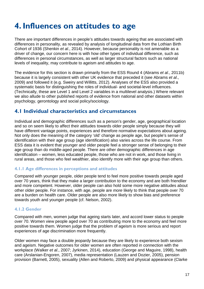## <span id="page-16-0"></span>**4. Influences on attitudes to age**

There are important differences in people's attitudes towards ageing that are associated with differences in personality, as revealed by analysis of longitudinal data from the Lothian Birth Cohort of 1936 (Shenkin *et al*., 2014). However, because personality is not amenable as a driver of change, our concern here is with how other types of individual difference, such as differences in personal circumstances, as well as larger structural factors such as national levels of inequality, may contribute to ageism and attitudes to age.

The evidence for this section is drawn primarily from the ESS Round 4 (Abrams *et al*., 2011b) because it is largely consistent with other UK evidence that preceded it (see Abrams *et al*., 2009) and followed it (e.g. Sweiry and Willitts, 2012). Analyses of the ESS also provided a systematic basis for distinguishing the roles of individual- and societal-level influences. (Technically, these are Level 1 and Level 2 variables in a multilevel analysis.) Where relevant we also allude to other published reports of evidence from national and other datasets within psychology, gerontology and social policy/sociology.

### <span id="page-16-1"></span>**4.1 Individual characteristics and circumstances**

Individual and demographic differences such as a person's gender, age, geographical location and so on seem likely to affect their attitudes towards older people simply because they will have different vantage points, experiences and therefore normative expectations about ageing. Not only does the meaning of the category 'old' change as people age, but people's sense of identification with their age group (age identification) also varies across the life course. From ESS data it is evident that younger and older people feel a stronger sense of belonging to their age group than do middle-aged people. There are other demographic differences in age identification – women, less educated people, those who are not in work, and those living in rural areas, and those who feel wealthier, also identify more with their age group than others.

#### <span id="page-16-2"></span>**4.1.1 Age differences in perceptions and attitudes**

Compared with younger people, older people tend to feel more positive towards people aged over 70 years, think that they make a larger contribution to the economy and are both friendlier and more competent. However, older people can also hold some more negative attitudes about other older people. For instance, with age, people are *more* likely to think that people over 70 are a burden on health care. Older people are also more likely to show bias and preference towards youth and younger people (cf. Nelson, 2002).

#### <span id="page-16-3"></span>**4.1.2 Gender**

Compared with men, women judge that ageing starts later, and accord lower status to people over 70. Women view people aged over 70 as contributing more to the economy and feel more positive towards them. Women judge that the problem of ageism is more serious and report experiences of age discrimination more frequently.

Older women may face a double jeopardy because they are likely to experience both sexism and ageism. Negative outcomes for older women are often reported in connection with the workplace (Walker *et al*., 2007; Jyrkinen, 2014), education (George and Maguire, 1998), health care (Arslanian-Engoren, 2007), media representation (Lauzen and Dozier, 2005), pension provision (Barnett, 2005), sexuality (Allen and Roberto, 2009) and physical appearance (Clarke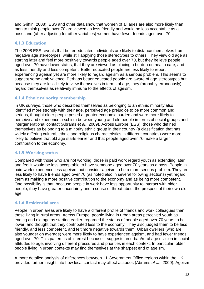and Griffin, 2008). ESS and other data show that women of all ages are also more likely than men to think people over 70 are viewed as less friendly and would be less acceptable as a boss, and (after adjusting for other variables) women have fewer friends aged over 70.

#### <span id="page-17-0"></span>**4.1.3 Education**

The 2008 ESS reveals that better educated individuals are likely to distance themselves from negative age stereotypes, while still applying those stereotypes to others. They view old age as starting later and feel more positively towards people aged over 70, but they believe people aged over 70 have lower status, that they are viewed as placing a burden on health care, and as less friendly and less competent. Better educated people are less likely to report experiencing ageism yet are more likely to regard ageism as a serious problem. This seems to suggest some ambivalence. Perhaps better educated people are aware of age stereotypes but, because they are less likely to view themselves in terms of age, they (probably erroneously) regard themselves as relatively immune to the effects of ageism.

#### <span id="page-17-1"></span>**4.1.4 Ethnic minority membership**

In UK surveys, those who described themselves as belonging to an ethnic minority also identified more strongly with their age, perceived age prejudice to be more common and serious, thought older people posed a greater economic burden and were more likely to perceive and experience a schism between young and old people in terms of social groups and intergenerational contact (Abrams *et al*., 2009). Across Europe (ESS), those who defined themselves as belonging to a minority ethnic group in their country (a classification that has widely differing cultural, ethnic and religious characteristics in different countries) were more likely to believe that old age starts earlier and that people aged over 70 make a larger contribution to the economy.

#### <span id="page-17-2"></span>**4.1.5 Working status**

Compared with those who are not working, those in paid work regard youth as extending later and feel it would be less acceptable to have someone aged over 70 years as a boss. People in paid work experience less ageism, but consider ageism to be a more serious problem. They are less likely to have friends aged over 70 (as noted also in several following sections) yet regard them as making a more positive contribution to the economy and as being more competent. One possibility is that, because people in work have less opportunity to interact with older people, they have greater uncertainty and a sense of threat about the prospect of their own old age.

#### <span id="page-17-3"></span>**4.1.6 Residential area**

People in urban areas are likely to have a different profile of friends and work colleagues than those living in rural areas. Across Europe, people living in urban areas perceived youth as ending and old age as starting earlier, regarded the status of people aged over 70 years to be lower, and thought that they contributed less to the economy. They also judged them to be less friendly, and less competent, and felt more negative towards them. Urban dwellers (who are also younger on average) were more likely to have experienced ageism, and had fewer friends aged over 70. This pattern is of interest because it suggests an urban/rural age division in social attitudes to age, involving different pressures and priorities in each context. In particular, older people living in urban contexts may find themselves at the sharpest end of ageism.

A more detailed analysis of differences between 11 Government Office regions within the UK provided further insight into how local contact may affect attitudes (Abrams *et al*., 2009). Ageism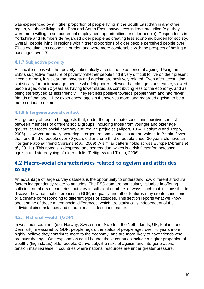was experienced by a higher proportion of people living in the South East than in any other region, yet those living in the East and South East showed less indirect prejudice (e.g. they were more willing to support equal employment opportunities for older people). Respondents in Yorkshire and Humberside regarded older people as creating less economic burden for society. Overall, people living in regions with higher proportions of older people perceived people over 70 as creating less economic burden and were more comfortable with the prospect of having a boss aged over 70.

#### <span id="page-18-0"></span>**4.1.7 Subjective poverty**

A critical issue is whether poverty substantially affects the experience of ageing. Using the ESS's subjective measure of poverty (whether people find it very difficult to live on their present income or not), it is clear that poverty and ageism are positively related. Even after accounting statistically for their own age, people who felt poorer believed that old age starts earlier, viewed people aged over 70 years as having lower status, as contributing less to the economy, and as being stereotyped as less friendly. They felt less positive towards people them and had fewer friends of that age. They experienced ageism themselves more, and regarded ageism to be a more serious problem.

#### <span id="page-18-1"></span>**4.1.8 Intergenerational contact**

A large body of research suggests that, under the appropriate conditions, positive contact between members of different social groups, including those from younger and older age groups, can foster social harmony and reduce prejudice (Allport, 1954; Pettigrew and Tropp, 2006). However, naturally occurring intergenerational contact is not prevalent. In Britain, fewer than one-third of people over 70 years old and one-third of people under 30 years old have an intergenerational friend (Abrams *et al*., 2009). A similar pattern holds across Europe (Abrams *et al.*, 2011b). This reveals widespread age segregation, which is a risk factor for increased ageism and stereotyping of older adults (Pettigrew and Tropp, 2006).

### <span id="page-18-2"></span>**4.2 Macro-social characteristics related to ageism and attitudes to age**

An advantage of large survey datasets is the opportunity to understand how different structural factors independently relate to attitudes. The ESS data are particularly valuable in offering sufficient numbers of countries that vary in sufficient numbers of ways, such that it is possible to discover how national differences in GDP, inequality and other features may create conditions or a climate corresponding to different types of attitudes. This section reports what we know about some of these macro-social differences, which are statistically independent of the individual circumstances and characteristics described earlier.

#### <span id="page-18-3"></span>**4.2.1 National wealth (GDP)**

In wealthier countries (e.g. Norway, Switzerland, Sweden, the Netherlands, UK, Finland and Denmark), measured by GDP, people regard the status of people aged over 70 years more highly, believe they contribute more to the economy, and are more likely to have friends who are over that age. One explanation could be that these countries include a higher proportion of wealthy (high status) older people. Conversely, the risks of ageism and intergenerational tension may increase in countries where national resources are under greater pressure.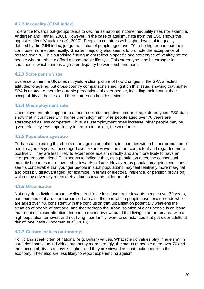#### <span id="page-19-0"></span>**4.2.2 Inequality (GINI index)**

Tolerance towards out-groups tends to decline as national income inequality rises (for example, Andersen and Fetner, 2008). However, in the case of ageism, data from the ESS shows the opposite effect (Vauclair *et al*., 2010). People in countries with higher levels of inequality, defined by the GINI index, judge the status of people aged over 70 to be higher and that they contribute more economically. Greater inequality also seems to promote the acceptance of bosses over 70. This surprising finding might reflect a specific age stereotype of wealthy retired people who are able to afford a comfortable lifestyle. This stereotype may be stronger in countries in which there is a greater disparity between rich and poor.

#### <span id="page-19-1"></span>**4.2.3 State pension age**

Evidence within the UK does not yield a clear picture of how changes in the SPA affected attitudes to ageing, but cross-country comparisons shed light on this issue, showing that higher SPA is related to more favourable perceptions of older people, including their status, their acceptability as bosses, and their burden on health services.

#### <span id="page-19-2"></span>**4.2.4 Unemployment rate**

Unemployment rates appear to affect the central negative feature of age stereotypes. ESS data show that in countries with higher unemployment rates people aged over 70 years are stereotyped as less competent. Thus, as unemployment rates increase, older people may be given relatively less opportunity to remain in, or join, the workforce.

#### <span id="page-19-3"></span>**4.2.5 Population age ratio**

Perhaps anticipating the effects of an ageing population, in countries with a higher proportion of people aged 65 years, those aged over 70 are viewed as more competent and regarded more positively. They are less likely to experience ageism directly and are more likely to have an intergenerational friend. This seems to indicate that, as a population ages, the consensual majority becomes more favourable towards old age. However, as population ageing continues it seems conceivable that younger people in such populations may feel relatively more marginal and possibly disadvantaged (for example, in terms of electoral influence, or pension provision), which may adversely affect their attitudes towards older people.

#### <span id="page-19-4"></span>**4.2.6 Urbanisation**

Not only do individual urban dwellers tend to be less favourable towards people over 70 years, but countries that are more urbanised are also those in which people have fewer friends who are aged over 70, consistent with the conclusion that urbanisation potentially weakens the situation of people of that age, and that perhaps the urban isolation of older people is an issue that requires closer attention. Indeed, a recent review found that living in an urban area with a high population turnover, and not living near family, were circumstances that put older adults at risk of loneliness (Goodman *et al*., 2015).

#### <span id="page-19-5"></span>**4.2.7 Cultural values (autonomy)**

Politicians speak often of national (e.g. British) values. What role do values play in ageism? In countries that value individual autonomy more strongly, the status of people aged over 70 and their acceptability as a boss is higher, and they are viewed as contributing more to the economy. They also are less likely to report experiencing ageism.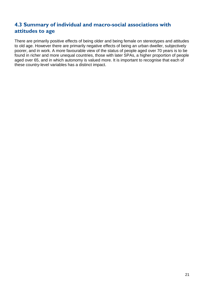### <span id="page-20-0"></span>**4.3 Summary of individual and macro-social associations with attitudes to age**

There are primarily positive effects of being older and being female on stereotypes and attitudes to old age. However there are primarily negative effects of being an urban dweller, subjectively poorer, and in work. A more favourable view of the status of people aged over 70 years is to be found in richer and more unequal countries, those with later SPAs, a higher proportion of people aged over 65, and in which autonomy is valued more. It is important to recognise that each of these country-level variables has a distinct impact.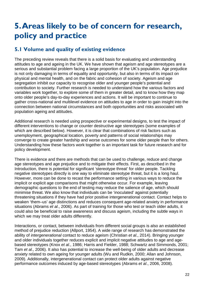## <span id="page-21-0"></span>**5. Areas likely to be of concern for research, policy and practice**

## <span id="page-21-1"></span>**5.1 Volume and quality of existing evidence**

The preceding review reveals that there is a solid basis for evaluating and understanding attitudes to age and ageing in the UK. We have shown that ageism and age stereotypes are a serious and substantial problem facing a large proportion of the UK's population. Age prejudice is not only damaging in terms of equality and opportunity, but also in terms of its impact on physical and mental health, and on the fabric and cohesion of society. Ageism and age segregation inhibit our capacity to recognise older and younger people's potential and contribution to society. Further research is needed to understand how the various factors and variables work together, to explore some of them in greater detail, and to know how they map onto older people's day-to-day experiences and actions. It will be important to continue to gather cross-national and multilevel evidence on attitudes to age in order to gain insight into the connection between national circumstances and both opportunities and risks associated with population ageing and attitudes.

Additional research is needed using prospective or experimental designs, to test the impact of different interventions to change or counter destructive age stereotypes (some examples of which are described below). However, it is clear that combinations of risk factors such as unemployment, geographical location, poverty and patterns of social relationships may converge to create greater hardship and worse outcomes for some older people than for others. Understanding how these factors work together is an important task for future research and for policy development.

There is evidence and there are methods that can be used to challenge, reduce and change age stereotypes and age prejudice and to mitigate their effects. First, as described in the Introduction, there is potential for significant 'stereotype threat' for older people. Tackling negative stereotypes directly is one way to eliminate stereotype threat, but it is a long haul. However, more can be done to recast the performance setting in various ways to reduce the implicit or explicit age comparisons that might otherwise occur. For example, leaving demographic questions to the end of testing may reduce the salience of age, which should minimise threat. We also know that individuals can be 'inoculated' against potentially threatening situations if they have had prior positive intergenerational contact. Contact helps to weaken 'them–us' age distinctions and reduces consequent age-related anxiety in performance situations (Abrams *et al*., 2006). As part of training for those who test or teach older adults, it could also be beneficial to raise awareness and discuss ageism, including the subtle ways in which we may treat older adults differently.

Interactions, or contact, between individuals from different social groups is also an established method of prejudice reduction (Allport, 1954). A wide range of research has demonstrated the ability of *intergenerational* contact to reduce ageism (Christian *et al*., 2014). Bringing younger and older individuals together reduces explicit and implicit negative attitudes to age and agebased stereotypes (Knox *et al*., 1986; Harris and Fielder, 1988; Schwartz and Simmonds, 2001; Tam *et al*., 2006). It also has potential to increase the well-being of older adults and decrease anxiety related to own ageing for younger adults (Wu and Rudkin, 2000; Allan and Johnson, 2009). Additionally, intergenerational contact can protect older adults against negative performance outcomes induced by age-based stereotypes (Abrams *et al*., 2006, 2008).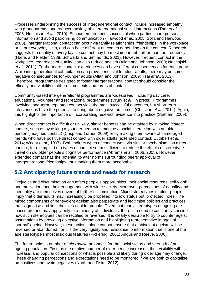Processes underpinning the success of intergenerational contact include increased empathy with grandparents, and reduced anxiety of intergenerational social interactions (Tam *et al*., 2006; Hutchison *et al*., 2010). Encounters are most successful when parties share personal information and avoid patronising communication (Harwood *et al*., 2005; Soliz and Harwood, 2003). Intergenerational contact can occur via family relationships, friendships, in the workplace or in our everyday lives, and can have different outcomes depending on the context. Research suggests the quality of everyday life contact may be most important, rather than the frequency (Harris and Fielder, 1988; Schwartz and Simmonds, 2001). However, frequent contact in the workplace, regardless of quality, can also reduce ageism (Allan and Johnson, 2009; Nochajski *et al*., 2011). Furthermore, contact experiences can have different consequences for each party. While intergenerational cohabitation can prove beneficial for older adults, there may be some negative consequences for younger adults (Allan and Johnson, 2009; Tsai *et al*., 2013). Therefore, programmes designed to foster intergenerational contact should consider the efficacy and viability of different contexts and forms of contact.

Community-based intergenerational programmes are widespread, including day care, educational, volunteer and recreational programmes (Drury *et al*., in press). Programmes involving long-term, repeated contact yield the most successful outcomes, but short-term interventions have the potential to bring about negative outcomes (Christian *et al*., 2014). Again, this highlights the importance of incorporating research evidence into practice (Statham, 2009).

When direct contact is difficult or unlikely, similar benefits can be attained by invoking *indirect*  contact, such as by asking a younger person to imagine a social interaction with an older person (imagined contact) (Crisp and Turner, 2009) or by making them aware of same-aged friends who have positive direct contact with older adults (extended contact: Cuthbert *et al*., 2014; Wright *et al*., 1997). Both indirect types of contact work via similar mechanisms as direct contact; for example, both types of contact seem sufficient to reduce the effects of stereotype threat on old older people's cognitive performance (Abrams *et al*., 2006, 2008). However, extended contact has the potential to alter norms surrounding peers' approval of intergenerational friendships, thus making them more acceptable.

### <span id="page-22-0"></span>**5.2 Anticipating future trends and needs for research**

Prejudice and discrimination can affect people's opportunities, their social resources, self-worth and motivation, and their engagement with wider society. Moreover, perceptions of equality and inequality are themselves drivers of further discrimination. Mixed stereotypes of older people imply that older adults may increasingly be propelled into low status but 'protected' roles. The mixed components of benevolent ageism also perpetuate and legitimise policies and practices that stigmatise and limit the lives of older people. Given that many stereotypes of ageing are inaccurate and may apply only to a minority of individuals, there is a need to constantly consider how such stereotypes can be rectified or reversed. It is clearly desirable to try to counter ageist assumptions by providing objective information and highlighting representative images of 'normal' ageing. However, these actions alone cannot ensure that ambivalent ageism will be reversed or abandoned, for it is the very rigidity and resistance to information that is one of the age stereotype's most insidious features (Pickering, 2001; Angus and Reeve, 2006).

The future holds a number of *alternative* prospects for the social status and strength of an ageing population. First, as the relative number of older people increases, their visibility will increase, and popular conceptions of what is possible and likely during older age may change. These changing perceptions and expectations need to be monitored if we are both to capitalise on positives and avoid negatives (North and Fiske, 2012).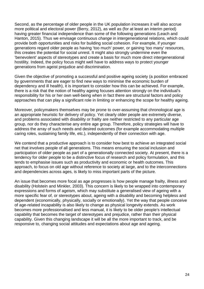Second, as the percentage of older people in the UK population increases it will also accrue more political and electoral power (Berry, 2012), as well as (for at least an interim period) having greater financial independence than some of the following generations (Leach and Hanton, 2015). Thus we envisage continuous *change* in intergenerational relations, which could provide both opportunities and risks for building social cohesion. For example, if younger generations regard older people as having 'too much' power, or gaining 'too many' resources, this creates the potential for social unrest. It might also strongly undermine even the 'benevolent' aspects of stereotypes and create a basis for much more direct intergenerational hostility. Indeed, the policy focus might well have to address ways to protect younger generations from ageist prejudice and discrimination.

Given the objective of promoting a successful and positive ageing society (a position embraced by governments that are eager to find new ways to minimise the economic burden of dependency and ill health), it is important to consider how this can be achieved. For example, there is a risk that the notion of healthy ageing focuses attention strongly on the individual's responsibility for his or her own well-being when in fact there are structural factors and policy approaches that can play a significant role in limiting or enhancing the scope for healthy ageing.

Moreover, policymakers themselves may be prone to over-assuming that chronological age is an appropriate heuristic for delivery of policy. Yet clearly older people are extremely diverse, and problems associated with disability or frailty are neither restricted to any particular age group, nor do they characterise any entire age group. Therefore, policy strategies will have to address the array of such needs and desired outcomes (for example accommodating multiple caring roles, sustaining family life, etc.), independently of their connection with age.

We contend that a productive approach is to consider how best to achieve an integrated social net that involves people of all generations. This means ensuring the social inclusion and participation of older people as part of a generationally connected society. At present, there is a tendency for older people to be a distinctive focus of research and policy formulation, and this tends to emphasise issues such as productivity and economic or health outcomes. This approach, to focus on old age without reference to society at large, and to the interconnections and dependencies across ages, is likely to miss important parts of the picture.

An issue that becomes more focal as age progresses is how people manage frailty, illness and disability (Holstein and Minkler, 2003). This concern is likely to be wrapped into contemporary expressions and forms of ageism, which may substitute a generalised view of ageing with a more specific fear of, or stereotypes about, ageing with a disability and becoming helpless and dependent (economically, physically, socially or emotionally). Yet the way that people conceive of age-related incapability is also likely to change as physical longevity extends. As work becomes more professionalised and less manual, it is likely to be older people's intellectual capability that becomes the target of stereotypes and prejudice, rather than their physical capability. Given this changing landscape it will be all the more important to track, and be responsive to, changing social attitudes and expectations about age and ageing.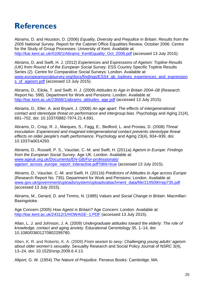## <span id="page-24-0"></span>**References**

Abrams, D. and Houston, D. (2006) *Equality, Diversity and Prejudice in Britain: Results from the 2005 National Survey*. Report for the Cabinet Office Equalities Review, October 2006. Centre for the Study of Group Processes: University of Kent. Available at: [http://kar.kent.ac.uk/4106/1/Abrams\\_KentEquality\\_Oct\\_2006.pdf](http://kar.kent.ac.uk/4106/1/Abrams_KentEquality_Oct_2006.pdf) (accessed 13 July 2015).

Abrams, D. and Swift, H. J. (2012) *Experiences and Expressions of Ageism: Topline Results (UK) from Round 4 of the European Social Survey*. ESS Country Specific Topline Results Series (2). Centre for Comparative Social Surveys: London. Available at: [www.europeansocialsurvey.org/docs/findings/ESS4\\_gb\\_toplines\\_experiences\\_and\\_expression](http://www.europeansocialsurvey.org/docs/findings/ESS4_gb_toplines_experiences_and_expressions_of_ageism.pdf) s of ageism.pdf (accessed 13 July 2015).

Abrams, D., Eilola, T. and Swift, H. J. (2009) *Attitudes to Age in Britain 2004–08* (Research Report No. 599). Department for Work and Pensions: London. Available at: [http://kar.kent.ac.uk/23668/1/abrams\\_attitudes\\_age.pdf](http://kar.kent.ac.uk/23668/1/abrams_attitudes_age.pdf) (accessed 13 July 2015).

Abrams, D., Eller, A. and Bryant, J. (2006) *An age apart: The effects of intergenerational contact and stereotype threat on performance and intergroup bias*. Psychology and Aging 21(4), 691–702, doi: 10.1037/0882-7974.21.4.691.

Abrams, D., Crisp, R. J., Marques, S., Fagg, E., Bedford, L. and Provias, D. (2008) *Threat inoculation: Experienced and imagined intergenerational contact prevents stereotype threat effects on older people's math performance*. Psychology and Aging 23(4), 934–939, doi: 10.1037/a0014293.

Abrams, D., Russell, P. S., Vauclair, C.-M. and Swift, H. (2011a) *Ageism in Europe: Findings from the European Social Survey*. Age UK: London. Available at: [www.ageuk.org.uk/Documents/EN-GB/For-professionals/](http://www.ageuk.org.uk/Documents/EN-GB/For-professionals/ageism_across_europe_report_interactive.pdf?dtrk=true) [ageism\\_across\\_europe\\_report\\_interactive.pdf?dtrk=true](http://www.ageuk.org.uk/Documents/EN-GB/For-professionals/ageism_across_europe_report_interactive.pdf?dtrk=true) (accessed 13 July 2015).

Abrams, D., Vauclair, C.-M. and Swift, H. (2011b) *Predictors of [Attitudes to Age across Europe](http://kar.kent.ac.uk/23668/1/abrams_attitudes_age.pdf)* (Research Report No. 735). Department for Work and Pensions: London. Available at: [www.gov.uk/government/uploads/system/uploads/attachment\\_data/file/214509/rrep735.pdf](https://www.gov.uk/government/uploads/system/uploads/attachment_data/file/214509/rrep735.pdf) (accessed 13 July 2015).

Abrams, M., Gerard, D. and Timms, N. (1985) *Values and Social Change in Britain*. Macmillan: Basingstoke.

Age Concern (2005) *How Ageist is Britain?* Age Concern: London. Available at: [http://kar.kent.ac.uk/24312/1/HOWAGE~1.PDF](http://kar.kent.ac.uk/24312/1/HOWAGE%7E1.PDF) (accessed 13 July 2015).

Allan, L. J. and Johnson, J. A. (2009) *Undergraduate attitudes toward the elderly: The role of knowledge, contact and aging anxiety*. Educational Gerontology 35, 1–14, doi: 10.1080/03601270802299780.

Allen, K. R. and Roberto, K. A. (2009) *From sexism to sexy: Challenging young adults' ageism about older women's sexuality*. Sexuality Research and Social Policy Journal of NSRC 3(4), 13–24, doi: 10.1525/srsp.2009.6.4.13.

Allport, G. W. (1954) *The Nature of Prejudice*. Perseus Books: Cambridge, MA.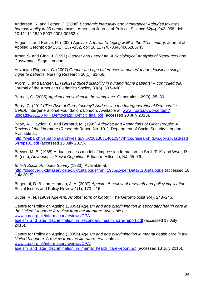Andersen, R. and Fetner, T. (2008) *Economic inequality and intolerance: Attitudes towards homosexuality in 35 democracies*. American Journal of Political Science 52(4), 942–958, doi: 10.1111/j.1540-5907.2008.00352.x.

Angus, J. and Reeve, P. (2006) *Ageism: A threat to "aging well" in the 21st century*. Journal of Applied Gerontology 25(2), 137–152, doi: 10.1177/0733464805285745.

Arber, S. and Ginn, J. (1991) *Gender and Later Life: A Sociological Analysis of Resources and Constraints*. Sage: London.

Arslanian-Engoren, C. (2007) *Gender and age differences in nurses' triage decisions using vignette patients*. Nursing Research 50(1), 61–66.

Avorn, J. and Langer, E. (1982) *Induced disability in nursing home patients: A controlled trial*. Journal of the American Geriatrics Society 30(6), 397–400.

Barnett, C. (2005) *Ageism and sexism in the workplace*. Generations 29(3), 25–30.

Berry, C. (2012) *The Rise of Gerontocracy? Addressing the Intergenerational Democratic Deficit*. Intergenerational Foundation: London. Available at: [www.if.org.uk/wp-content/](http://www.if.org.uk/wp-content/uploads/2012/04/IF_Democratic_Deficit_final.pdf) [uploads/2012/04/IF\\_Democratic\\_Deficit\\_final.pdf](http://www.if.org.uk/wp-content/uploads/2012/04/IF_Democratic_Deficit_final.pdf) (accessed 28 July 2015).

Boaz, A., Hayden, C. and Bernard, M. (1999) *Attitudes and Aspirations of Older People: A Review of the Literature* (Research Report No. 101). Department of Social Security: London. Available at:

[http://webarchive.nationalarchives.gov.uk/20130314010347/http://research.dwp.gov.uk/asd/asd](http://webarchive.nationalarchives.gov.uk/20130314010347/http:/research.dwp.gov.uk/asd/asd5/rrep101.pdf) [5/rrep101.pdf](http://webarchive.nationalarchives.gov.uk/20130314010347/http:/research.dwp.gov.uk/asd/asd5/rrep101.pdf) (accessed 13 July 2015).

Brewer, M. B. (1988) [A dual process model of impression formation.](http://books.google.co.uk/books?hl=en&lr=&id=Kg3sAgAAQBAJ&oi=fnd&pg=PA1&dq=A+dual+process+model+of+impression+formation.&ots=0S-TmeSZ8n&sig=h5cFoGHS3t1kAixT8bNudBdjcAU%23v=onepage&q=A%20dual%20process%20model%20of%20impression%20formation.&f=false) In Srull, T. K. and Wyer, R. S. (eds), *Advances in Social Cognition*. Erlbaum: Hillsdale, NJ, 65–76.

*British Social Attitudes Survey* (1983). Available at: <http://discover.ukdataservice.ac.uk/catalogue/?sn=1935&type=Data%20catalogue> (accessed 16 July 2015).

Bugental, D. B. and Hehman, J. A. (2007) *Ageism: A review of research and policy implications*. Social Issues and Policy Review 1(1), 173–216.

Butler, R. N. (1969) *Age-ism: Another form of bigotry*. The Gerontologist 9(4), 243–246.

Centre for Policy on Ageing (2009a) *Ageism and age discrimination in secondary health care in the United Kingdom: A review from the literature*. Available at: [www.cpa.org.uk/information/reviews/CPA](http://www.cpa.org.uk/information/reviews/CPA-ageism_and_age_discrimination_in_secondary_health_care-report.pdf)[ageism\\_and\\_age\\_discrimination\\_in\\_secondary\\_health\\_care-report.pdf](http://www.cpa.org.uk/information/reviews/CPA-ageism_and_age_discrimination_in_secondary_health_care-report.pdf) (accessed 13 July 2015).

Centre for Policy on Ageing (2009b) *Ageism and age discrimination in mental health care in the United Kingdom: A review from the literature*. Available at: [www.cpa.org.uk/information/reviews/CPA-](http://www.cpa.org.uk/information/reviews/CPA-ageism_and_age_discrimination_in_mental_health_care-report.pdf)

[ageism\\_and\\_age\\_discrimination\\_in\\_mental\\_health\\_care-report.pdf](http://www.cpa.org.uk/information/reviews/CPA-ageism_and_age_discrimination_in_mental_health_care-report.pdf) (accessed 13 July 2015).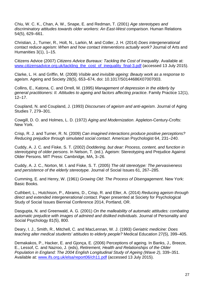Chiu, W. C. K., Chan, A. W., Snape, E. and Redman, T. (2001) *Age stereotypes and discriminatory attitudes towards older workers: An East-West comparison*. Human Relations 54(5), 629–661.

Christian, J., Turner, R., Holt, N., Larkin, M. and Cotler, J. H. (2014) *Does intergenerational contact reduce ageism: When and how contact interventions actually work?* Journal of Arts and Humanities 3(1), 1–15.

Citizens Advice (2007) *Citizens Advice Bureaux: Tackling the Cost of Inequality*. Available at: [www.citizensadvice.org.uk/tackling\\_the\\_cost\\_of\\_inequality\\_final-3.pdf](http://www.citizensadvice.org.uk/tackling_the_cost_of_inequality_final-3.pdf) (accessed 13 July 2015).

Clarke, L. H. and Griffin, M. (2008) *Visible and invisible ageing: Beauty work as a response to ageism*. Ageing and Society 28(5), 653–674, doi: 10.1017/S0144686X07007003.

Collins, E., Katona, C. and Orrell, M. (1995) *Management of depression in the elderly by general practitioners: II. Attitudes to ageing and factors affecting practice*. Family Practice 12(1), 12–17.

Coupland, N. and Coupland, J. (1993) *Discourses of ageism and anti-ageism*. Journal of Aging Studies 7, 279–301.

Cowgill, D. O. and Holmes, L. D. (1972) *Aging and Modernization*. Appleton-Century-Crofts: New York.

Crisp, R. J. and Turner, R. N. (2009) *Can imagined interactions produce positive perceptions? Reducing prejudice through simulated social contact*. American Psychologist 64, 231–240.

Cuddy, A. J. C. and Fiske, S. T. (2002) *Doddering, but dear: Process, content, and function in stereotyping of older persons*. In Nelson, T. (ed.). Ageism: Stereotyping and Prejudice Against Older Persons. MIT Press: Cambridge, MA, 3–26.

Cuddy, A. J. C., Norton, M. I. and Fiske, S. T. (2005) *The old stereotype: The pervasiveness and persistence of the elderly stereotype.* Journal of Social Issues 61, 267–285.

Cumming, E. and Henry, W. (1961) *Growing Old: The Process of Disengagement*. New York: Basic Books.

Cuthbert, L., Hutchison, P., Abrams, D., Crisp, R. and Eller, A. (2014) *Reducing ageism through direct and extended intergenerational contact*. Paper presented at Society for Psychological Study of Social Issues Biennial Conference 2014, Portland, OR.

Dasgupta, N. and Greenwald, A. G. (2001) *On the malleability of automatic attitudes: combating automatic prejudice with images of admired and disliked individuals*. Journal of Personality and Social Psychology 81(5), 800.

Deary, I. J., Smith, R., Mitchell, C. and MacLennan, W. J. (1993) *Geriatric medicine: Does teaching alter medical students' attitudes to elderly people?* Medical Education 27(5), 399–405.

Demakakos, P., Hacker, E. and Gjonça, E. (2006) Perceptions of ageing. In Banks, J., Breeze, E., Lessof, C. and Nazroo, J. (eds), *Retirement, Health and Relationships of the Older Population in England: The 2004 English Longitudinal Study of Ageing (Wave 2)*, 339–351. Available at: [www.ifs.org.uk/elsa/report06/ch11.pdf](http://www.ifs.org.uk/elsa/report06/ch11.pdf) (accessed 13 July 2015).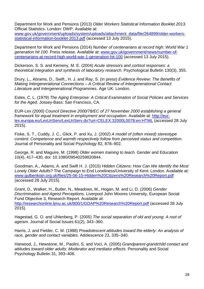Department for Work and Pensions (2013) *Older Workers Statistical Information Booklet 2013*. Official Statistics. London: DWP. Available at:

[www.gov.uk/government/uploads/system/uploads/attachment\\_data/file/264899/older-workers](https://www.gov.uk/government/uploads/system/uploads/attachment_data/file/264899/older-workers-statistical-information-booklet-2013.pdf)[statistical-information-booklet-2013.pdf](https://www.gov.uk/government/uploads/system/uploads/attachment_data/file/264899/older-workers-statistical-information-booklet-2013.pdf) (accessed 13 July 2015).

Department for Work and Pensions (2014) *Number of centenarians at record high: World War 1 generation hit 100*. Press release. Available at: [www.gov.uk/government/news/number-of](https://www.gov.uk/government/news/number-of-centenarians-at-record-high-world-war-1-generation-hit-100)[centenarians-at-record-high-world-war-1-generation-hit-100](https://www.gov.uk/government/news/number-of-centenarians-at-record-high-world-war-1-generation-hit-100) (accessed 13 July 2015).

Dickerson, S. S. and Kemeny, M. E. (2004) *Acute stressors and cortisol responses: a theoretical integration and synthesis of laboratory research*. Psychological Bulletin 130(3), 355.

Drury, L., Abrams, D., Swift., H. J. and Ray, S. (in press) *Evidence Review: The Benefits of Making Intergenerational Connections – A Critical Review of Intergenerational Contact Literature and Intergenerational Programmes*. Age UK: London.

Estes, C. L. (1979) *The Aging Enterprise: A Critical Examination of Social Policies and Services for the Aged*. Jossey-Bass: San Francisco, CA.

EUR-Lex (2000) *Council Directive 2000/78/EC of 27 November 2000 establishing a general framework for equal treatment in employment and occupation*. Available at: [http://eur](http://eur-lex.europa.eu/LexUriServ/LexUriServ.do?uri=CELEX:32000L0078:en:HTML)[lex.europa.eu/LexUriServ/LexUriServ.do?uri=CELEX:32000L0078:en:HTML](http://eur-lex.europa.eu/LexUriServ/LexUriServ.do?uri=CELEX:32000L0078:en:HTML) (accessed 28 July 2015).

Fiske, S. T., Cuddy, J. C., Glick, P. and Xu, J. (2002) *A model of (often mixed) stereotype content: Competence and warmth respectively follow from perceived status and competition*. Journal of Personality and Social Psychology 82, 878–902.

George, R. and Maguire, M. (1998) *Older women training to teach*. Gender and Education 10(4), 417–430, doi: 10.1080/09540259820844.

Goodman, A., Adams, A. and Swift H. J. (2015) *Hidden Citizens: How Can We Identify the Most Lonely Older Adults?* The Campaign to End Loneliness/University of Kent: London. Available at: [www.gulbenkian.org.uk/files/25-06-15-Hidden%20Citizens%20Research%20Report.pdf](http://www.gulbenkian.org.uk/files/25-06-15-Hidden%20Citizens%20Research%20Report.pdf) (accessed 28 July 2015).

Grant, D., Walker, H., Butler, N., Meadows, M., Hogan, M. and Li, D. (2006) *Gender Discrimination and Ageist Perceptions*. Liverpool John Moores University, European Social Fund Objective 3, Research Report. Available at: <http://researchonline.ljmu.ac.uk/800/1/GDAP%20Research%20Report.pdf> (accessed 28 July 2015).

Hagestad, G. O. and Uhlenberg, P. (2005) *The social separation of old and young: A root of ageism*. Journal of Social Issues 61(2), 343–360.

Harris, J. and Fielder, C. M. (1988) *Preadolescent attitudes toward the elderly: An analysis of race, gender and contact variables*. Adolescence 23, 335–340.

Harwood, J., Hewstone, M., Paolini, S. and Voci, A. (2005) *Grandparent-grandchild contact and attitudes toward older adults: Moderator and mediator effects*. Personality and Social Psychology Bulletin 31, 393–406.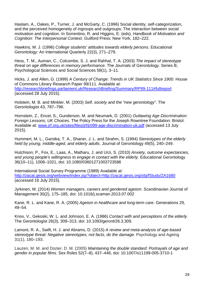Haslam, A., Oakes, P., Turner, J. and McGarty, C. (1996) Social identity, self-categorization, and the perceived homogeneity of ingroups and outgroups: The interaction between social motivation and cognition. In Sorrentino, R. and Higgins, E. (eds), *Handbook of Motivation and Cognition: The Interpersonal Context*. Guilford Press: New York, 182–222.

Hawkins, M. J. (1996) *College students' attitudes towards elderly persons*. Educational Gerontology: An International Quarterly 22(3), 271–279.

Hess, T. M., Auman, C., Colcombe, S. J. and Rahhal, T. A. (2003) *The impact of stereotype threat on age differences in memory performance*. The Journals of Gerontology. Series B, Psychological Sciences and Social Sciences 58(1), 3–11.

Hicks, J. and Allen, G. (1999) *A Century of Change: Trends in UK Statistics Since 1900.* House of Commons Library Research Paper 99/111. Available at: [http://researchbriefings.parliament.uk/ResearchBriefing/Summary/RP99-111#fullreport](http://researchbriefings.parliament.uk/ResearchBriefing/Summary/RP99-111%23fullreport) (accessed 28 July 2015).

Holstein, M. B. and Minkler, M. (2003) *Self, society and the "new gerontology"*. The Gerontologist 43, 787–796.

Hornstein, Z., Encel, S., Gunderson, M. and Neumark, D. (2001) *Outlawing Age Discrimination: Foreign Lessons, UK Choices*. The Policy Press for the Joseph Rowntree Foundation: Bristol. Available at: [www.jrf.org.uk/sites/files/jrf/jr099-age-discrimination-uk.pdf](http://www.jrf.org.uk/sites/files/jrf/jr099-age-discrimination-uk.pdf) (accessed 13 July 2015).

Hummert, M. L., Garstka, T. A., Shaner, J. L. and Strahm, S. (1994) *Stereotypes of the elderly held by young, middle-aged, and elderly adults*. Journal of Gerontology 49(5), 240–249.

Hutchison, P., Fox, E., Laas, A., Matharu, J. and Urzi, S. (2010) *Anxiety, outcome expectancies, and young people's willingness to engage in contact with the elderly*. Educational Gerontology 36(10–11), 1008–1021, doi: 10.1080/03601271003723586

International Social Survey Programme (1989) Available at: <http://zacat.gesis.org/webview/index.jsp?object=http://zacat.gesis.org/obj/fStudy/ZA1680> (accessed 16 July 2015).

Jyrkinen, M. (2014) *Women managers, careers and gendered ageism*. Scandinavian Journal of Management 30(2), 175–185, doi: 10.1016/j.scaman.2013.07.002

Kane, R. L. and Kane, R. A. (2005) *Ageism in healthcare and long-term care*. Generations 29, 49–54.

Knox, V., Gekoski, W. L. and Johnson, E. A. (1986) *Contact with and perceptions of the elderly*. The Gerontologist 26(3), 309–313, doi: 10.1093/geront/26.3.309.

Lamont, R. A., Swift, H. J. and Abrams, D. (2015) *A review and meta-analysis of age-based stereotype threat: Negative stereotypes, not facts, do the damage*. Psychology and Ageing 31(1), 180–193.

Lauzen, M. M. and Dozier, D. M. (2005) *Maintaining the double standard: Portrayals of age and gender in popular films*. Sex Roles 52(7–8), 437–446, doi: 10.1007/s11199-005-3710-1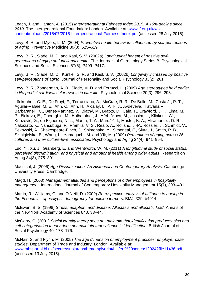Leach, J. and Hanton, A. (2015) *Intergenerational Fairness Index 2015: A 10% decline since 2010*. The Intergenerational Foundation: London. Available at: [www.if.org.uk/wp](http://www.if.org.uk/wp-content/uploads/2015/07/2015-Intergenerational-Fairness-Index.pdf)[content/uploads/2015/07/2015-Intergenerational-Fairness-Index.pdf](http://www.if.org.uk/wp-content/uploads/2015/07/2015-Intergenerational-Fairness-Index.pdf) (accessed 28 July 2015).

Levy, B. R. and Myers, L. M. (2004) *Preventive health behaviors influenced by self-perceptions of aging*. Preventive Medicine 39(3), 625–629.

Levy, B. R., Slade, M. D. and Kasl, S. V. (2002a) *Longitudinal benefit of positive selfperceptions of aging on functional health.* The Journals of Gerontology Series B: Psychological Sciences and Social Sciences 57(5), P409–P417.

Levy, B. R., Slade, M. D., Kunkel, S. R. and Kasl, S. V. (2002b) *Longevity increased by positive self-perceptions of aging*. Journal of Personality and Social Psychology 83(2), 261.

Levy, B. R., Zonderman, A. B., Slade, M. D. and Ferrucci, L. (2009) *Age stereotypes held earlier in life predict cardiovascular events in later life*. Psychological Science 20(3), 296–298.

Löckenhoff, C. E., De Fruyt, F., Terracciano, A., McCrae, R. R., De Bolle, M., Costa Jr, P. T., Aguilar-Vafaie, M. E., Ahn, C., Ahn, H., Alcalay, L., Allik, J., Avdeyeva., Tatyana V., Barbaranelli, C., Benet-Martinez, V., Blatný, M., Bratko, D., Cain, T., Crawford, J. T., Lima, M. P., Ficková, E., Gheorghiu, M., Halberstadt, J., Hřebíčková, M., Jussim, L., Klinkosz, W., Knežević, G., de Figueroa, N. L., Martin, T. A., Marušić, I., Mastor, K. A., Miramontez, D. R., Nakazato, K., Nansubuga, F., Pramila, V. S., Realo, A., Rolland, J.-P., Rossier, J., Schmidt, V., Sekowski, A., Shakespeare-Finch, J., Shimonaka, Y., Simonetti, F., Siuta, J., Smith, P. B., Szmigielska, B., Wang, L., Yamaguchi, M. and Yik, M. (2009) *Perceptions of aging across 26 cultures and their culture-level associates*. Psychology and Aging 24(4), 941–954.

Luo, Y., Xu, J., Granberg, E. and Wentworth, W. M. (2011) *A longitudinal study of social status, perceived discrimination, and physical and emotional health among older adults*. Research on Aging 34(3), 275–301.

Macnicol, J. (2006) *Age Discrimination: An Historical and Contemporary Analysis.* Cambridge University Press: Cambridge.

Magd, H. (2003) *Management attitudes and perceptions of older employees in hospitality management.* International Journal of Contemporary Hospitality Management 15(7), 393–401.

Martin, R., Williams, C. and O'Neill, D. (2009) *Retrospective analysis of attitudes to ageing in the Economist: apocalyptic demography for opinion formers*. BMJ, 339, b4914.

McEwen, B. S. (1998) *Stress, adaption, and disease: Allostasis and allostatic load*. Annals of the New York Academy of Sciences 840, 33–44.

McGarty, C. (2001) *Social identity theory does not maintain that identification produces bias and self-categorisation theory does not maintain that salience is identification*. British Journal of Social Psychology 40, 173–176.

McNair, S. and Flynn, M. (2005) *The age dimension of employment practices: employer case studies*. Department of Trade and Industry: London. Available at: [www.mbsportal.bl.uk/secure/subjareas/hrmemplyrelat/bis/err%20series/120242file11436.pdf](http://www.mbsportal.bl.uk/secure/subjareas/hrmemplyrelat/bis/err%20series/120242file11436.pdf) (accessed 13 July 2015).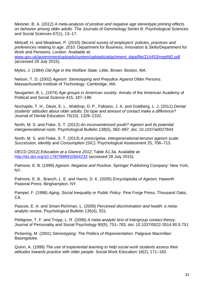Meisner, B. A. (2012) *A meta-analysis of positive and negative age stereotype priming effects on behavior among older adults*. The Journals of Gerontology Series B: Psychological Sciences and Social Sciences 67(1), 13–17.

Metcalf, H. and Meadows, P. (2010) *Second survey of employers' policies, practices and preferences relating to age, 2010*. Department for Business, Innovation & Skills/Department for Work and Pensions: London. Available at:

[www.gov.uk/government/uploads/system/uploads/attachment\\_data/file/214453/rrep682.pdf](https://www.gov.uk/government/uploads/system/uploads/attachment_data/file/214453/rrep682.pdf) (accessed 28 July 2015).

Myles, J. (1984) *Old Age in the Welfare State*. Little, Brown: Boston, MA.

Nelson, T. D. (2002) *Ageism: Stereotyping and Prejudice Against Older Persons*. Massachusetts Institute of Technology: Cambridge, MA.

Neugarten, B. L. (1974) *Age groups in American society*. Annals of the American Academy of Political and Social Science 415, 187–198.

Nochajski, T. H., Davis, E. L., Waldrop, D. P., Fabiano, J. A. and Goldberg, L. J. (2011) *Dental students' attitudes about older adults: Do type and amount of contact make a difference?* Journal of Dental Education 75(10), 1329–1332.

North, M. S. and Fiske, S. T. (2012) *An inconvenienced youth? Ageism and its potential intergenerational roots.* Psychological Bulletin 138(5), 982–997, doi: 10.1037/a0027843

North, M. S. and Fiske, S. T. (2013) *A prescriptive, intergenerational-tension ageism scale: Succession, Identity and Consumption (SIC).* Psychological Assessment 25, 706–713.

OECD (2012) *Education at a Glance 2012*, Table A1.3a. Available at: <http://dx.doi.org/10.1787/888932664233> (accessed 28 July 2015).

Palmore, E. B. (1999) *Ageism: Negative and Positive*. Springer Publishing Company: New York, NY.

Palmore, E. B., Branch, L. E. and Harris, D. K. (2005) *Encyclopedia of Ageism*. Haworth Pastoral Press: Binghampton, NY.

Pampel, F. (1998) *Aging, Social Inequality or Public Policy*. Pine Forge Press, Thousand Oaks, CA.

Pascoe, E. A. and Smart-Richman, L. (2009) *Perceived discrimination and health: a metaanalytic review*. Psychological Bulletin 135(4), 531.

Pettigrew, T. F. and Tropp, L. R. (2006) *A meta-analytic test of intergroup contact theory*. Journal of Personality and Social Psychology 90(5), 751–783, doi: 10.1037/0022-3514.90.5.751

Pickering, M. (2001) *Stereotyping: The Politics of Representation*. Palgrave Macmillan: Basingstoke.

Quinn, A. (1999) *The use of experiential learning to help social work students assess their attitudes towards practice with older people*. Social Work Education 18(2), 171–182.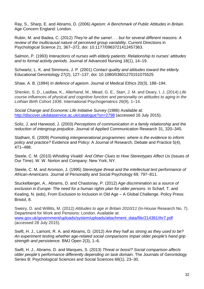Ray, S., Sharp, E. and Abrams, D. (2006) *Ageism: A Benchmark of Public Attitudes in Britain*. Age Concern England: London.

Rubin, M. and Badea, C. (2012) *They're all the same!. . . but for several different reasons: A review of the multicausal nature of perceived group variability*. Current Directions in Psychological Science 21, 367–372, [doi:](http://en.wikipedia.org/wiki/Digital_object_identifier) [10.1177/0963721412457363.](http://dx.doi.org/10.1177%2F0963721412457363)

Salmon, P. (1993) *Interactions of nurses with elderly patients: Relationship to nurses' attitudes and to formal activity periods*. Journal of Advanced Nursing 18(1), 14–19.

Schwartz, L. K. and Simmons, J. P. (2001) *Contact quality and attitudes toward the elderly*. Educational Gerontology 27(2), 127–137, doi: 10.1080/03601270151075525

Shaw, A. B. (1994) *In defence of ageism*. Journal of Medical Ethics 20(3), 188–194.

Shenkin, S. D., Laidlaw, K., Allerhand, M., Mead, G. E., Starr, J. M. and Deary, I. J. (2014) *Life course influences of physical and cognitive function and personality on attitudes to aging in the Lothian Birth Cohort 1936*. International Psychogeriatrics 26(9), 1–14.

*Social Change and Economic Life Initiative Survey* (1986) Available at: <http://discover.ukdataservice.ac.uk/catalogue?sn=2798> (accessed 16 July 2015).

Soliz, J. and Harwood, J. (2003) *Perceptions of communication in a family relationship and the reduction of intergroup prejudice*. Journal of Applied Communication Research 31, 320–345.

Statham, E. (2009) *Promoting intergenerational programmes: where is the evidence to inform policy and practice?* Evidence and Policy: A Journal of Research, Debate and Practice 5(4), 471–488.

Steele, C. M. (2010) *Whistling Vivaldi: And Other Clues to How Stereotypes Affect Us* (Issues of Our Time). W. W. Norton and Company: New York, NY.

Steele, C. M. and Aronson, J. (1995) *Stereotype threat and the intellectual test performance of African-Americans.* Journal of Personality and Social Psychology 69, 797–811.

Stuckelberger, A., Abrams, D. and Chastonay, P. (2012) *Age discrimination as a source of exclusion in Europe: The need for a human rights plan for older persons*. In Scharf, T. and Keating, N. (eds), From Exclusion to Inclusion in Old Age – A Global Challenge. Policy Press: Bristol, 8.

Sweiry, D. and Willitts, M. (2012*) Attitudes to age in Britain 2010/11* (In-House Research No. 7). Department for Work and Pensions: London. Available at: [www.gov.uk/government/uploads/system/uploads/attachment\\_data/file/214361/ihr7.pdf](https://www.gov.uk/government/uploads/system/uploads/attachment_data/file/214361/ihr7.pdf) (accessed 28 July 2015).

Swift, H. J., Lamont, R. A. and Abrams, D. (2012) *Are they half as strong as they used to be? An experiment testing whether age-related social comparisons impair older people's hand grip strength and persistence*. BMJ Open 2(3), 1–6.

Swift, H. J., Abrams, D. and Marques, S. (2013) *Threat or boost? Social comparison affects older people's performance differently depending on task domain*. The Journals of Gerontology Series B: Psychological Sciences and Social Sciences 68(1), 23–30.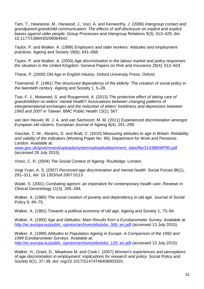Tam, T., Hewstone, M., Harwood, J., Voci, A. and Kenworthy, J. (2006) *Intergroup contact and grandparent-grandchild communication: The effects of self-disclosure on implicit and explicit biases against older people.* Group Processes and Intergroup Relations 9(3), 413–429, doi: 10.1177/1368430206064642.

Taylor, P. and Walker, A. (1998) *Employers and older workers: Attitudes and employment practices*. Ageing and Society 18(6), 641–658.

Taylor, P. and Walker, A. (2003) *Age discrimination in the labour market and policy responses: the situation in the United Kingdom*. Geneva Papers on Risk and Insurance 28(4), 612–624.

Thane, P. (2000) *Old Age in English History*. Oxford University Press: Oxford.

Townsend, P. (1981) *The structured dependency of the elderly: The creation of social policy in the twentieth century*. Ageing and Society 1, 5–28.

Tsai, F. J., Motamed, S. and Rougemont, A. (2013) *The protective effect of taking care of grandchildren on elders' mental health? Associations between changing patterns of intergenerational exchanges and the reduction of elders' loneliness and depression between 1993 and 2007 in Taiwan.* BMC Public Health 13(1), 567.

van den Heuvel, W. J. A. and van Santvoort, M. M. (2011) *Experienced discrimination amongst European old citizens.* European Journal of Ageing 8(4), 291–299.

Vauclair, C.-M., Abrams, D. and Bratt, C. (2010) *Measuring attitudes to age in Britain: Reliability and validity of the indicators* (Working Paper No. 90). Department for Work and Pensions: London. Available at:

[www.gov.uk/government/uploads/system/uploads/attachment\\_data/file/214388/WP90.pdf](https://www.gov.uk/government/uploads/system/uploads/attachment_data/file/214388/WP90.pdf) (accessed 28 July 2015).

Victor, C. R. (2004) *The Social Context of Ageing*. Routledge: London.

Vogt Yuan, A. S. (2007) *Perceived age discrimination and mental health.* Social Forces 86(1), 291–311, doi: 10.1353/sof.2007.0113.

Wade, S. (2001) *Combating ageism: an imperative for contemporary health care*. Reviews in Clinical Gerontology 11(3), 285–294.

Walker, A. (1980) *The social creation of poverty and dependency in old age*. Journal of Social Policy 9, 49–75.

Walker, A. (1981) *Towards a political economy of old age*. Ageing and Society 1, 73–94.

Walker, A. (1993) *Age and Attitudes: Main Results from a Eurobarometer Survey*. Available at: [http://ec.europa.eu/public\\_opinion/archives/ebs/ebs\\_069\\_en.pdf](http://ec.europa.eu/public_opinion/archives/ebs/ebs_069_en.pdf) (accessed 13 July 2015).

Walker, A. (1999) *Attitudes to Population Ageing in Europe: A Comparison of the 1992 and 1999 Eurobarometer Surveys*. Available at: [http://ec.europa.eu/public\\_opinion/archives/ebs/ebs\\_129\\_en.pdf](http://ec.europa.eu/public_opinion/archives/ebs/ebs_129_en.pdf) (accessed 13 July 2015).

Walker, H., Grant, D., Meadows M. and Cook I. (2007) *Women's experiences and perceptions of age discrimination in employment: implications for research and policy*. Social Policy and Society 6(1), 37–38, doi: org/10.1017/S1474746406003320.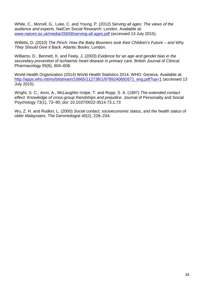White, C., Morrell, G., Luke, C. and Young, P. (2012) *Serving all ages: The views of the audience and experts*. NatCen Social Research: London. Available at: [www.natcen.ac.uk/media/25658/serving-all-ages.pdf](http://www.natcen.ac.uk/media/25658/serving-all-ages.pdf) (accessed 13 July 2015).

Willetts, D. (2010) *The Pinch: How the Baby Boomers took their Children's Future – and Why They Should Give it Back*. Atlantic Books: London.

Williams, D., Bennett, K. and Feely, J. (2003) *Evidence for an age and gender bias in the secondary prevention of ischaemic heart disease in primary care*. British Journal of Clinical Pharmacology 55(6), 604–608.

World Health Organization (2014) World Health Statistics 2014. WHO: Geneva. Available at: [http://apps.who.int/iris/bitstream/10665/112738/1/9789240692671\\_eng.pdf?ua=1](http://apps.who.int/iris/bitstream/10665/112738/1/9789240692671_eng.pdf?ua=1) (accessed 13 July 2015).

Wright, S. C., Aron, A., McLaughlin-Volpe, T. and Ropp, S. A. (1997) *The extended contact effect: Knowledge of cross-group friendships and prejudice.* Journal of Personality and Social Psychology 73(1), 73–90, doi: 10.1037/0022-3514.73.1.73

Wu, Z. H. and Rudkin, L. (2000) *Social contact, socioeconomic status, and the health status of older Malaysians.* The Gerontologist 40(2), 228–234.